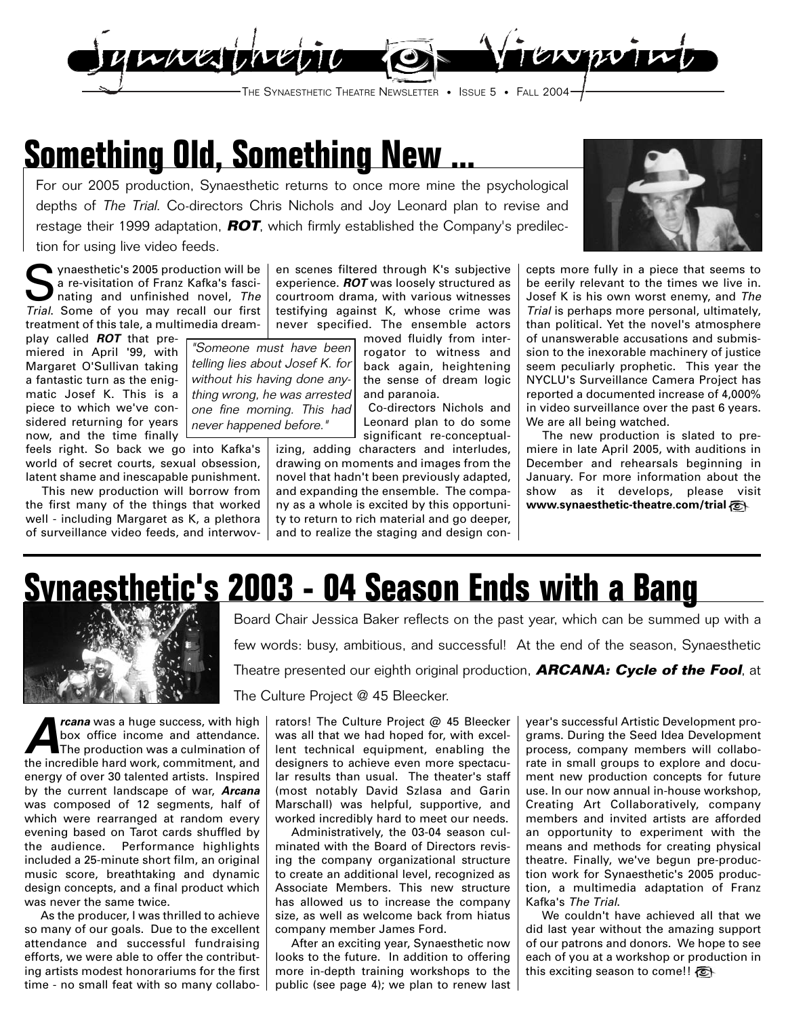

## **Something Old, Something New ...**

never happened before."

For our 2005 production, Synaesthetic returns to once more mine the psychological depths of The Trial. Co-directors Chris Nichols and Joy Leonard plan to revise and restage their 1999 adaptation, **ROT**, which firmly established the Company's predilection for using live video feeds.

Synaesthetic's 2005 production will be a re-visitation of Franz Kafka's fascinating and unfinished novel, The Trial. Some of you may recall our first treatment of this tale, a multimedia dream-

play called **ROT** that premiered in April '99, with Margaret O'Sullivan taking a fantastic turn as the enigmatic Josef K. This is a piece to which we've considered returning for years now, and the time finally

feels right. So back we go into Kafka's world of secret courts, sexual obsession, latent shame and inescapable punishment.

This new production will borrow from the first many of the things that worked well - including Margaret as K, a plethora of surveillance video feeds, and interwov-

en scenes filtered through K's subjective experience. **ROT** was loosely structured as courtroom drama, with various witnesses testifying against K, whose crime was never specified. The ensemble actors

moved fluidly from interrogator to witness and back again, heightening the sense of dream logic and paranoia. "Someone must have been telling lies about Josef K. for without his having done anything wrong, he was arrested one fine morning. This had

Co-directors Nichols and Leonard plan to do some significant re-conceptual-

izing, adding characters and interludes, drawing on moments and images from the novel that hadn't been previously adapted, and expanding the ensemble. The company as a whole is excited by this opportunity to return to rich material and go deeper, and to realize the staging and design con-

cepts more fully in a piece that seems to be eerily relevant to the times we live in. Josef K is his own worst enemy, and The Trial is perhaps more personal, ultimately, than political. Yet the novel's atmosphere of unanswerable accusations and submission to the inexorable machinery of justice seem peculiarly prophetic. This year the NYCLU's Surveillance Camera Project has reported a documented increase of 4,000% in video surveillance over the past 6 years. We are all being watched.

The new production is slated to premiere in late April 2005, with auditions in December and rehearsals beginning in January. For more information about the show as it develops, please visit **www.synaesthetic-theatre.com/trial**

# **Synaesthetic's 2003 - 04 Season Ends with a Bang**



**A***rcana* was a huge success, with high box office income and attendance.<br>The production was a culmination of box office income and attendance. The production was a culmination of the incredible hard work, commitment, and energy of over 30 talented artists. Inspired by the current landscape of war, **Arcana** was composed of 12 segments, half of which were rearranged at random every evening based on Tarot cards shuffled by the audience. Performance highlights included a 25-minute short film, an original music score, breathtaking and dynamic design concepts, and a final product which was never the same twice.

As the producer, I was thrilled to achieve so many of our goals. Due to the excellent attendance and successful fundraising efforts, we were able to offer the contributing artists modest honorariums for the first time - no small feat with so many collabo-

Board Chair Jessica Baker reflects on the past year, which can be summed up with a few words: busy, ambitious, and successful! At the end of the season, Synaesthetic Theatre presented our eighth original production, **ARCANA: Cycle of the Fool**, at The Culture Project @ 45 Bleecker.

rators! The Culture Project @ 45 Bleecker was all that we had hoped for, with excellent technical equipment, enabling the designers to achieve even more spectacular results than usual. The theater's staff (most notably David Szlasa and Garin Marschall) was helpful, supportive, and worked incredibly hard to meet our needs.

Administratively, the 03-04 season culminated with the Board of Directors revising the company organizational structure to create an additional level, recognized as Associate Members. This new structure has allowed us to increase the company size, as well as welcome back from hiatus company member James Ford.

After an exciting year, Synaesthetic now looks to the future. In addition to offering more in-depth training workshops to the public (see page 4); we plan to renew last year's successful Artistic Development programs. During the Seed Idea Development process, company members will collaborate in small groups to explore and document new production concepts for future use. In our now annual in-house workshop, Creating Art Collaboratively, company members and invited artists are afforded an opportunity to experiment with the means and methods for creating physical theatre. Finally, we've begun pre-production work for Synaesthetic's 2005 production, a multimedia adaptation of Franz Kafka's The Trial.

We couldn't have achieved all that we did last year without the amazing support of our patrons and donors. We hope to see each of you at a workshop or production in this exciting season to come!!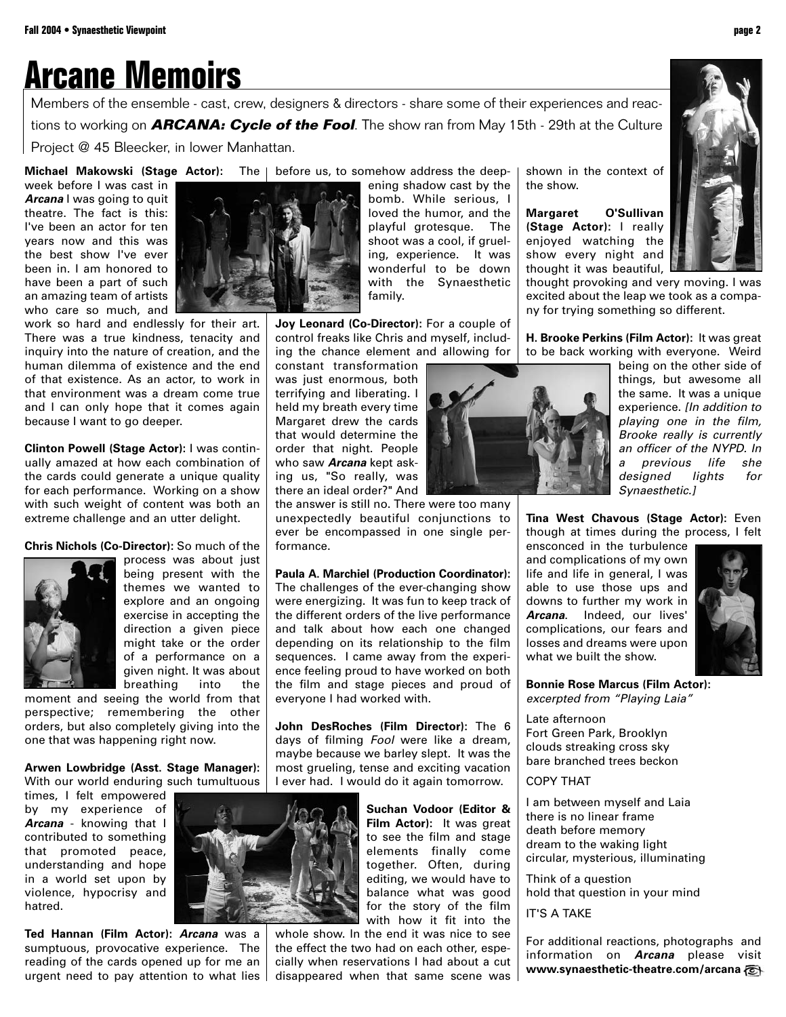#### **Arcane Memoirs**

Members of the ensemble - cast, crew, designers & directors - share some of their experiences and reactions to working on **ARCANA: Cycle of the Fool**. The show ran from May 15th - 29th at the Culture Project @ 45 Bleecker, in lower Manhattan.

**Michael Makowski (Stage Actor):** The | before us, to somehow address the deepweek before I was cast in **Arcana** I was going to quit theatre. The fact is this: I've been an actor for ten years now and this was the best show I've ever been in. I am honored to have been a part of such an amazing team of artists who care so much, and

work so hard and endlessly for their art. There was a true kindness, tenacity and inquiry into the nature of creation, and the human dilemma of existence and the end of that existence. As an actor, to work in that environment was a dream come true and I can only hope that it comes again because I want to go deeper.

**Clinton Powell (Stage Actor):** I was continually amazed at how each combination of the cards could generate a unique quality for each performance. Working on a show with such weight of content was both an extreme challenge and an utter delight.

**Chris Nichols (Co-Director):** So much of the



being present with the themes we wanted to explore and an ongoing exercise in accepting the direction a given piece might take or the order of a performance on a given night. It was about breathing into the

moment and seeing the world from that perspective; remembering the other orders, but also completely giving into the one that was happening right now.

**Arwen Lowbridge (Asst. Stage Manager):** With our world enduring such tumultuous

times, I felt empowered by my experience of **Arcana** - knowing that I contributed to something that promoted peace, understanding and hope in a world set upon by violence, hypocrisy and hatred.

**Ted Hannan (Film Actor): Arcana** was a sumptuous, provocative experience. The reading of the cards opened up for me an urgent need to pay attention to what lies

ening shadow cast by the bomb. While serious, I loved the humor, and the playful grotesque. The shoot was a cool, if grueling, experience. It was wonderful to be down with the Synaesthetic family.

**Joy Leonard (Co-Director):** For a couple of control freaks like Chris and myself, including the chance element and allowing for

constant transformation was just enormous, both terrifying and liberating. I held my breath every time Margaret drew the cards that would determine the order that night. People who saw **Arcana** kept asking us, "So really, was there an ideal order?" And

the answer is still no. There were too many unexpectedly beautiful conjunctions to ever be encompassed in one single performance.

**Paula A. Marchiel (Production Coordinator):** The challenges of the ever-changing show were energizing. It was fun to keep track of the different orders of the live performance and talk about how each one changed depending on its relationship to the film sequences. I came away from the experience feeling proud to have worked on both the film and stage pieces and proud of everyone I had worked with.

**John DesRoches (Film Director):** The 6 days of filming Fool were like a dream, maybe because we barley slept. It was the most grueling, tense and exciting vacation I ever had. I would do it again tomorrow.

> **Suchan Vodoor (Editor & Film Actor):** It was great to see the film and stage elements finally come together. Often, during editing, we would have to balance what was good for the story of the film with how it fit into the

whole show. In the end it was nice to see the effect the two had on each other, especially when reservations I had about a cut disappeared when that same scene was

shown in the context of the show.

**Margaret O'Sullivan (Stage Actor):** I really enjoyed watching the show every night and thought it was beautiful,

thought provoking and very moving. I was excited about the leap we took as a company for trying something so different.

**H. Brooke Perkins (Film Actor):** It was great to be back working with everyone. Weird

> being on the other side of things, but awesome all the same. It was a unique experience. *[In addition to* playing one in the film, Brooke really is currently an officer of the NYPD. In a previous life she designed lights for Synaesthetic.]

**Tina West Chavous (Stage Actor):** Even though at times during the process, I felt

ensconced in the turbulence and complications of my own life and life in general, I was able to use those ups and downs to further my work in **Arcana**. Indeed, our lives' complications, our fears and losses and dreams were upon what we built the show.



**Bonnie Rose Marcus (Film Actor):**  excerpted from "Playing Laia"

Late afternoon Fort Green Park, Brooklyn clouds streaking cross sky bare branched trees beckon

COPY THAT

I am between myself and Laia there is no linear frame death before memory dream to the waking light circular, mysterious, illuminating

Think of a question hold that question in your mind

IT'S A TAKE

For additional reactions, photographs and information on **Arcana** please visit **www.synaesthetic-theatre.com/arcana**





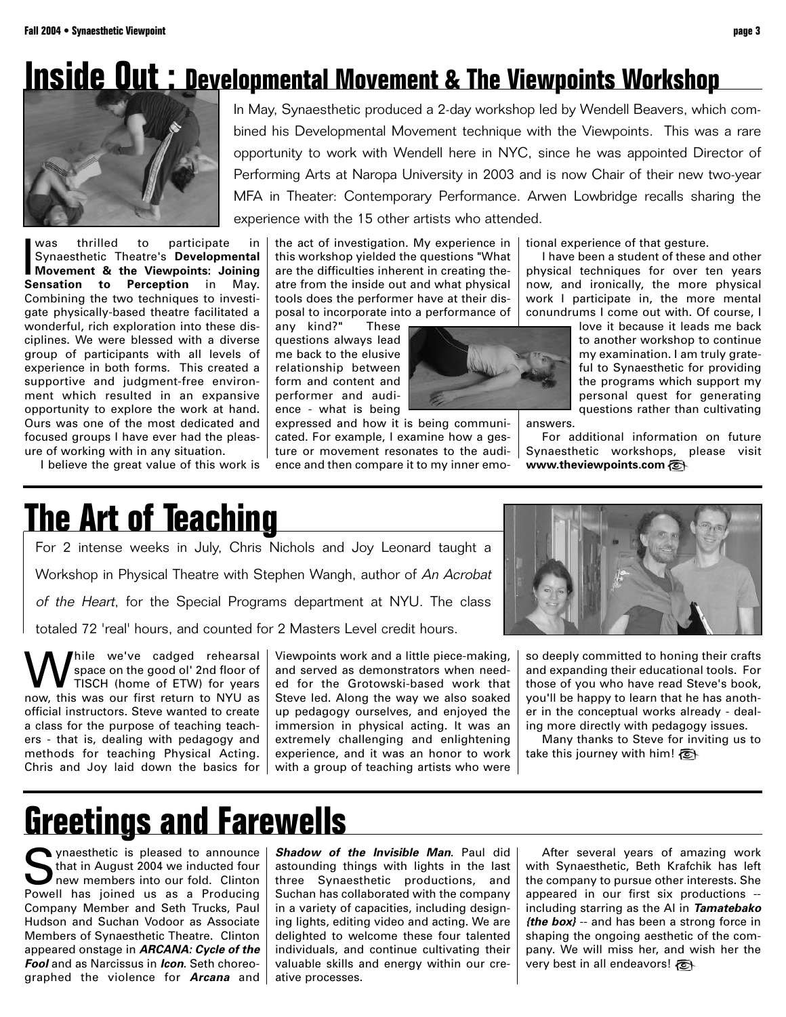### **Inside Out : Developmental Movement & The Viewpoints Workshop**



was thrilled to participate in<br>Synaesthetic Theatre's Developmental<br>Movement & the Viewpoints: Joining<br>Sensation to Perception in May. thrilled to participate in Synaesthetic Theatre's **Developmental Movement & the Viewpoints: Joining** Combining the two techniques to investigate physically-based theatre facilitated a wonderful, rich exploration into these disciplines. We were blessed with a diverse group of participants with all levels of experience in both forms. This created a supportive and judgment-free environment which resulted in an expansive opportunity to explore the work at hand. Ours was one of the most dedicated and focused groups I have ever had the pleasure of working with in any situation.

I believe the great value of this work is

In May, Synaesthetic produced a 2-day workshop led by Wendell Beavers, which combined his Developmental Movement technique with the Viewpoints. This was a rare opportunity to work with Wendell here in NYC, since he was appointed Director of Performing Arts at Naropa University in 2003 and is now Chair of their new two-year MFA in Theater: Contemporary Performance. Arwen Lowbridge recalls sharing the experience with the 15 other artists who attended.

the act of investigation. My experience in this workshop yielded the questions "What are the difficulties inherent in creating theatre from the inside out and what physical tools does the performer have at their disposal to incorporate into a performance of

any kind?" These questions always lead me back to the elusive relationship between form and content and performer and audience - what is being

expressed and how it is being communicated. For example, I examine how a gesture or movement resonates to the audience and then compare it to my inner emotional experience of that gesture.

I have been a student of these and other physical techniques for over ten years now, and ironically, the more physical work I participate in, the more mental conundrums I come out with. Of course, I

> love it because it leads me back to another workshop to continue my examination. I am truly grateful to Synaesthetic for providing the programs which support my personal quest for generating questions rather than cultivating

answers.

For additional information on future Synaesthetic workshops, please visit **www.theviewpoints.com**

For 2 intense weeks in July, Chris Nichols and Joy Leonard taught a Workshop in Physical Theatre with Stephen Wangh, author of An Acrobat of the Heart, for the Special Programs department at NYU. The class totaled 72 'real' hours, and counted for 2 Masters Level credit hours. **The Art of Teaching** 

hile we've cadged rehearsal space on the good ol' 2nd floor of TISCH (home of ETW) for years now, this was our first return to NYU as official instructors. Steve wanted to create a class for the purpose of teaching teachers - that is, dealing with pedagogy and methods for teaching Physical Acting. Chris and Joy laid down the basics for

Viewpoints work and a little piece-making, and served as demonstrators when needed for the Grotowski-based work that Steve led. Along the way we also soaked up pedagogy ourselves, and enjoyed the immersion in physical acting. It was an extremely challenging and enlightening experience, and it was an honor to work with a group of teaching artists who were



so deeply committed to honing their crafts and expanding their educational tools. For those of you who have read Steve's book, you'll be happy to learn that he has another in the conceptual works already - dealing more directly with pedagogy issues.

Many thanks to Steve for inviting us to take this journey with him!

## **Greetings and Farewells**

Synaesthetic is pleased to announce<br>that in August 2004 we inducted four<br>new members into our fold. Clinton<br>Powell, has joined us as a Producing that in August 2004 we inducted four new members into our fold. Clinton Powell has joined us as a Producing Company Member and Seth Trucks, Paul Hudson and Suchan Vodoor as Associate Members of Synaesthetic Theatre. Clinton appeared onstage in **ARCANA: Cycle of the Fool** and as Narcissus in **Icon**. Seth choreographed the violence for **Arcana** and **Shadow of the Invisible Man**. Paul did astounding things with lights in the last three Synaesthetic productions, and Suchan has collaborated with the company in a variety of capacities, including designing lights, editing video and acting. We are delighted to welcome these four talented individuals, and continue cultivating their valuable skills and energy within our creative processes.

After several years of amazing work with Synaesthetic, Beth Krafchik has left the company to pursue other interests. She appeared in our first six productions - including starring as the AI in **Tamatebako {the box}** -- and has been a strong force in shaping the ongoing aesthetic of the company. We will miss her, and wish her the very best in all endeavors!